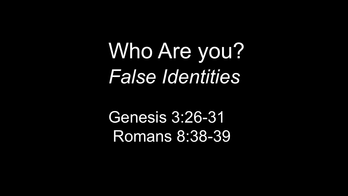Who Are you? *False Identities*

Genesis 3:26-31 Romans 8:38-39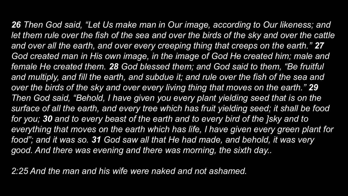*26 Then God said, "Let Us make man in Our image, according to Our likeness; and*  let them rule over the fish of the sea and over the birds of the sky and over the cattle and over all the earth, and over every creeping thing that creeps on the earth." 27 God created man in His own image, in the image of God He created him; male and *female He created them. 28 God blessed them; and God said to them, "Be fruitful and multiply, and fill the earth, and subdue it; and rule over the fish of the sea and over the birds of the sky and over every living thing that moves on the earth." 29 Then God said, "Behold, I have given you every plant yielding seed that is on the surface of all the earth, and every tree which has fruit yielding seed; it shall be food for you; 30 and to every beast of the earth and to every bird of the ]sky and to*  everything that moves on the earth which has life, I have given every green plant for *food"; and it was so. 31 God saw all that He had made, and behold, it was very good. And there was evening and there was morning, the sixth day..*

*2:25 And the man and his wife were naked and not ashamed.*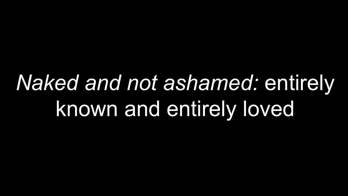# *Naked and not ashamed:* entirely known and entirely loved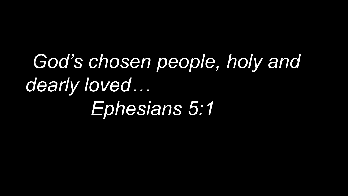…*God's chosen people, holy and dearly loved… Ephesians 5:1*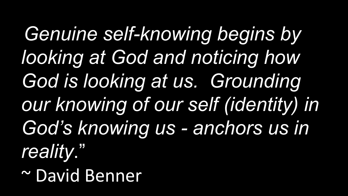Genuine self-knowing begins by *looking at God and noticing how God is looking at us. Grounding our knowing of our self (identity) in God's knowing us - anchors us in reality*." ~ David Benner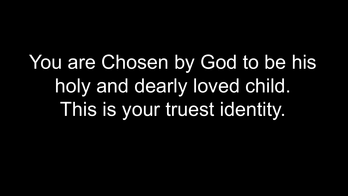You are Chosen by God to be his holy and dearly loved child. This is your truest identity.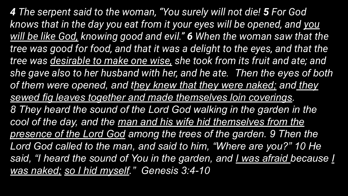*4 The serpent said to the woman, "You surely will not die! 5 For God knows that in the day you eat from it your eyes will be opened, and you will be like God, knowing good and evil." 6 When the woman saw that the tree was good for food, and that it was a delight to the eyes, and that the tree was desirable to make one wise, she took from its fruit and ate; and she gave also to her husband with her, and he ate. Then the eyes of both of them were opened, and they knew that they were naked; and they sewed fig leaves together and made themselves loin coverings. 8 They heard the sound of the Lord God walking in the garden in the cool of the day, and the man and his wife hid themselves from the presence of the Lord God among the trees of the garden. 9 Then the Lord God called to the man, and said to him, "Where are you?" 10 He said, "I heard the sound of You in the garden, and I was afraid because I was naked; so I hid myself." Genesis 3:4-10*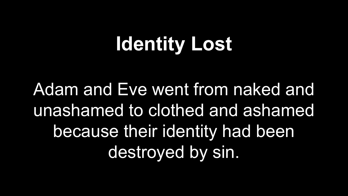## **Identity Lost**

Adam and Eve went from naked and unashamed to clothed and ashamed because their identity had been destroyed by sin.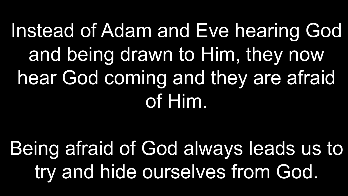## Instead of Adam and Eve hearing God and being drawn to Him, they now hear God coming and they are afraid of Him.

Being afraid of God always leads us to try and hide ourselves from God.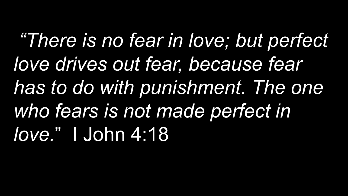*"There is no fear in love; but perfect love drives out fear, because fear has to do with punishment. The one who fears is not made perfect in love.*" I John 4:18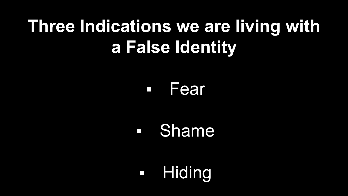## **Three Indications we are living with a False Identity**

#### ▪ Fear

### ▪ Shame

■ Hiding